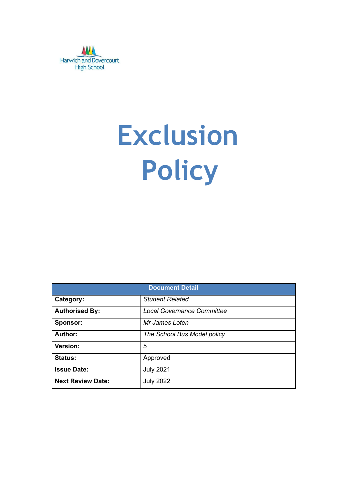

# **Exclusion Policy**

| <b>Document Detail</b>   |                                   |  |  |  |
|--------------------------|-----------------------------------|--|--|--|
| Category:                | <b>Student Related</b>            |  |  |  |
| <b>Authorised By:</b>    | <b>Local Governance Committee</b> |  |  |  |
| Sponsor:                 | Mr James Loten                    |  |  |  |
| <b>Author:</b>           | The School Bus Model policy       |  |  |  |
| Version:                 | 5                                 |  |  |  |
| <b>Status:</b>           | Approved                          |  |  |  |
| <b>Issue Date:</b>       | <b>July 2021</b>                  |  |  |  |
| <b>Next Review Date:</b> | <b>July 2022</b>                  |  |  |  |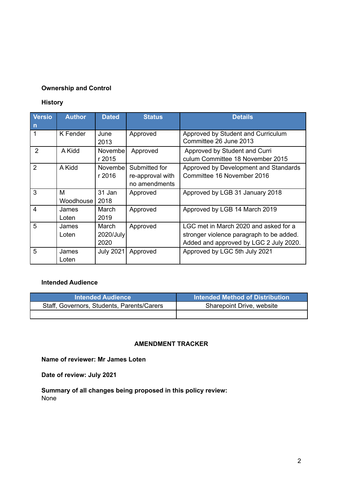#### **Ownership and Control**

#### **History**

| <b>Versio</b><br>$\mathsf{n}$ | <b>Author</b>    | <b>Dated</b>               | <b>Status</b>                                      | <b>Details</b>                                                                                                              |
|-------------------------------|------------------|----------------------------|----------------------------------------------------|-----------------------------------------------------------------------------------------------------------------------------|
|                               | K Fender         | June<br>2013               | Approved                                           | Approved by Student and Curriculum<br>Committee 26 June 2013                                                                |
| $\overline{2}$                | A Kidd           | Novembel<br>r 2015         | Approved                                           | Approved by Student and Curri<br>culum Committee 18 November 2015                                                           |
| $\overline{2}$                | A Kidd           | Novembel<br>r 2016         | Submitted for<br>re-approval with<br>no amendments | Approved by Development and Standards<br>Committee 16 November 2016                                                         |
| 3                             | м<br>Woodhouse I | 31 Jan<br>2018             | Approved                                           | Approved by LGB 31 January 2018                                                                                             |
| 4                             | James<br>Loten   | March<br>2019              | Approved                                           | Approved by LGB 14 March 2019                                                                                               |
| 5                             | James<br>Loten   | March<br>2020/July<br>2020 | Approved                                           | LGC met in March 2020 and asked for a<br>stronger violence paragraph to be added.<br>Added and approved by LGC 2 July 2020. |
| 5                             | James<br>Loten   | <b>July 2021</b>           | Approved                                           | Approved by LGC 5th July 2021                                                                                               |

#### **Intended Audience**

| <b>Intended Audience</b>                   | Intended Method of Distribution |
|--------------------------------------------|---------------------------------|
| Staff, Governors, Students, Parents/Carers | Sharepoint Drive, website       |
|                                            |                                 |

#### **AMENDMENT TRACKER**

**Name of reviewer: Mr James Loten**

**Date of review: July 2021**

**Summary of all changes being proposed in this policy review:** None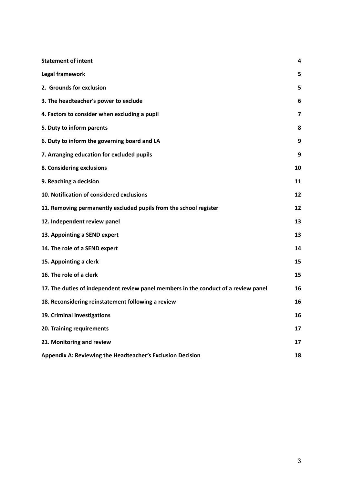| <b>Statement of intent</b>                                                          | 4  |
|-------------------------------------------------------------------------------------|----|
| Legal framework                                                                     | 5  |
| 2. Grounds for exclusion                                                            | 5  |
| 3. The headteacher's power to exclude                                               | 6  |
| 4. Factors to consider when excluding a pupil                                       | 7  |
| 5. Duty to inform parents                                                           | 8  |
| 6. Duty to inform the governing board and LA                                        | 9  |
| 7. Arranging education for excluded pupils                                          | 9  |
| 8. Considering exclusions                                                           | 10 |
| 9. Reaching a decision                                                              | 11 |
| 10. Notification of considered exclusions                                           | 12 |
| 11. Removing permanently excluded pupils from the school register                   | 12 |
| 12. Independent review panel                                                        | 13 |
| 13. Appointing a SEND expert                                                        | 13 |
| 14. The role of a SEND expert                                                       | 14 |
| 15. Appointing a clerk                                                              | 15 |
| 16. The role of a clerk                                                             | 15 |
| 17. The duties of independent review panel members in the conduct of a review panel | 16 |
| 18. Reconsidering reinstatement following a review                                  | 16 |
| 19. Criminal investigations                                                         | 16 |
| 20. Training requirements                                                           | 17 |
| 21. Monitoring and review                                                           | 17 |
| Appendix A: Reviewing the Headteacher's Exclusion Decision                          | 18 |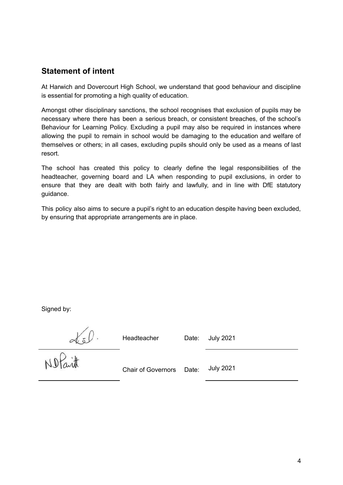## <span id="page-3-0"></span>**Statement of intent**

At Harwich and Dovercourt High School, we understand that good behaviour and discipline is essential for promoting a high quality of education.

Amongst other disciplinary sanctions, the school recognises that exclusion of pupils may be necessary where there has been a serious breach, or consistent breaches, of the school's Behaviour for Learning Policy. Excluding a pupil may also be required in instances where allowing the pupil to remain in school would be damaging to the education and welfare of themselves or others; in all cases, excluding pupils should only be used as a means of last resort.

The school has created this policy to clearly define the legal responsibilities of the headteacher, governing board and LA when responding to pupil exclusions, in order to ensure that they are dealt with both fairly and lawfully, and in line with DfE statutory guidance.

This policy also aims to secure a pupil's right to an education despite having been excluded, by ensuring that appropriate arrangements are in place.

Signed by:

Headteacher Date: July 2021

No Part

Chair of Governors Date: July 2021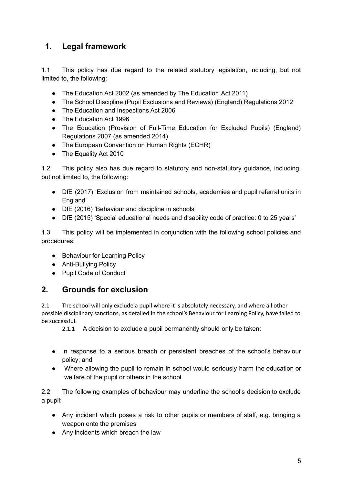# <span id="page-4-0"></span>**1. Legal framework**

1.1 This policy has due regard to the related statutory legislation, including, but not limited to, the following:

- The Education Act 2002 (as amended by The Education Act 2011)
- The School Discipline (Pupil Exclusions and Reviews) (England) Regulations 2012
- The Education and Inspections Act 2006
- The Education Act 1996
- The Education (Provision of Full-Time Education for Excluded Pupils) (England) Regulations 2007 (as amended 2014)
- The European Convention on Human Rights (ECHR)
- The Equality Act 2010

1.2 This policy also has due regard to statutory and non-statutory guidance, including, but not limited to, the following:

- DfE (2017) 'Exclusion from maintained schools, academies and pupil referral units in England'
- DfE (2016) 'Behaviour and discipline in schools'
- DfE (2015) 'Special educational needs and disability code of practice: 0 to 25 years'

1.3 This policy will be implemented in conjunction with the following school policies and procedures:

- Behaviour for Learning Policy
- Anti-Bullying Policy
- Pupil Code of Conduct

## <span id="page-4-1"></span>**2. Grounds for exclusion**

2.1 The school will only exclude a pupil where it is absolutely necessary, and where all other possible disciplinary sanctions, as detailed in the school's Behaviour for Learning Policy, have failed to be successful.

2.1.1 A decision to exclude a pupil permanently should only be taken:

- In response to a serious breach or persistent breaches of the school's behaviour policy; and
- Where allowing the pupil to remain in school would seriously harm the education or welfare of the pupil or others in the school

2.2 The following examples of behaviour may underline the school's decision to exclude a pupil:

- Any incident which poses a risk to other pupils or members of staff, e.g. bringing a weapon onto the premises
- Any incidents which breach the law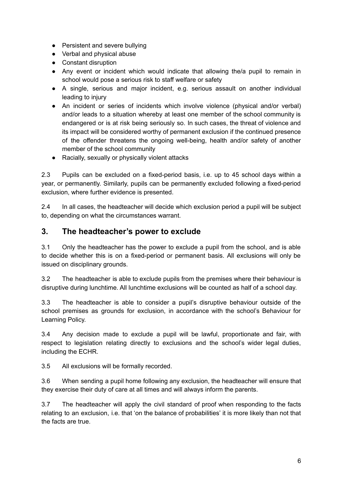- Persistent and severe bullying
- Verbal and physical abuse
- Constant disruption
- Any event or incident which would indicate that allowing the/a pupil to remain in school would pose a serious risk to staff welfare or safety
- A single, serious and major incident, e.g. serious assault on another individual leading to injury
- An incident or series of incidents which involve violence (physical and/or verbal) and/or leads to a situation whereby at least one member of the school community is endangered or is at risk being seriously so. In such cases, the threat of violence and its impact will be considered worthy of permanent exclusion if the continued presence of the offender threatens the ongoing well-being, health and/or safety of another member of the school community
- Racially, sexually or physically violent attacks

2.3 Pupils can be excluded on a fixed-period basis, i.e. up to 45 school days within a year, or permanently. Similarly, pupils can be permanently excluded following a fixed-period exclusion, where further evidence is presented.

2.4 In all cases, the headteacher will decide which exclusion period a pupil will be subject to, depending on what the circumstances warrant.

#### <span id="page-5-0"></span>**3. The headteacher's power to exclude**

3.1 Only the headteacher has the power to exclude a pupil from the school, and is able to decide whether this is on a fixed-period or permanent basis. All exclusions will only be issued on disciplinary grounds.

3.2 The headteacher is able to exclude pupils from the premises where their behaviour is disruptive during lunchtime. All lunchtime exclusions will be counted as half of a school day.

3.3 The headteacher is able to consider a pupil's disruptive behaviour outside of the school premises as grounds for exclusion, in accordance with the school's Behaviour for Learning Policy.

3.4 Any decision made to exclude a pupil will be lawful, proportionate and fair, with respect to legislation relating directly to exclusions and the school's wider legal duties, including the ECHR.

3.5 All exclusions will be formally recorded.

3.6 When sending a pupil home following any exclusion, the headteacher will ensure that they exercise their duty of care at all times and will always inform the parents.

3.7 The headteacher will apply the civil standard of proof when responding to the facts relating to an exclusion, i.e. that 'on the balance of probabilities' it is more likely than not that the facts are true.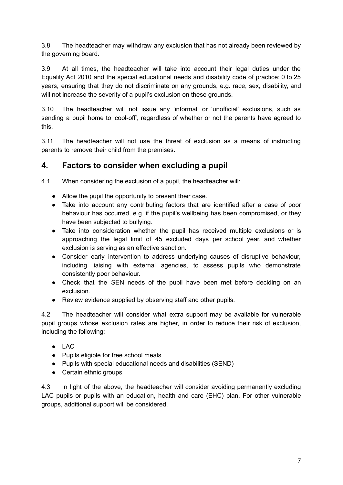3.8 The headteacher may withdraw any exclusion that has not already been reviewed by the governing board.

3.9 At all times, the headteacher will take into account their legal duties under the Equality Act 2010 and the special educational needs and disability code of practice: 0 to 25 years, ensuring that they do not discriminate on any grounds, e.g. race, sex, disability, and will not increase the severity of a pupil's exclusion on these grounds.

3.10 The headteacher will not issue any 'informal' or 'unofficial' exclusions, such as sending a pupil home to 'cool-off', regardless of whether or not the parents have agreed to this.

3.11 The headteacher will not use the threat of exclusion as a means of instructing parents to remove their child from the premises.

## <span id="page-6-0"></span>**4. Factors to consider when excluding a pupil**

4.1 When considering the exclusion of a pupil, the headteacher will:

- Allow the pupil the opportunity to present their case.
- Take into account any contributing factors that are identified after a case of poor behaviour has occurred, e.g. if the pupil's wellbeing has been compromised, or they have been subjected to bullying.
- Take into consideration whether the pupil has received multiple exclusions or is approaching the legal limit of 45 excluded days per school year, and whether exclusion is serving as an effective sanction.
- Consider early intervention to address underlying causes of disruptive behaviour, including liaising with external agencies, to assess pupils who demonstrate consistently poor behaviour.
- Check that the SEN needs of the pupil have been met before deciding on an exclusion.
- Review evidence supplied by observing staff and other pupils.

4.2 The headteacher will consider what extra support may be available for vulnerable pupil groups whose exclusion rates are higher, in order to reduce their risk of exclusion, including the following:

- $\bullet$  LAC
- Pupils eligible for free school meals
- Pupils with special educational needs and disabilities (SEND)
- Certain ethnic groups

4.3 In light of the above, the headteacher will consider avoiding permanently excluding LAC pupils or pupils with an education, health and care (EHC) plan. For other vulnerable groups, additional support will be considered.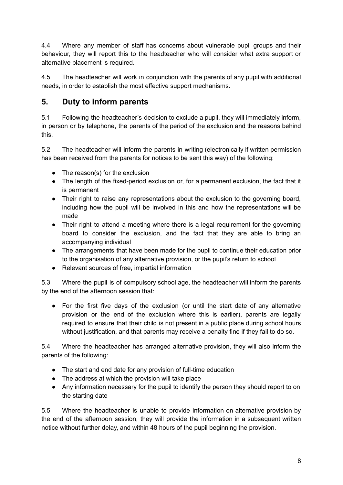4.4 Where any member of staff has concerns about vulnerable pupil groups and their behaviour, they will report this to the headteacher who will consider what extra support or alternative placement is required.

4.5 The headteacher will work in conjunction with the parents of any pupil with additional needs, in order to establish the most effective support mechanisms.

# <span id="page-7-0"></span>**5. Duty to inform parents**

5.1 Following the headteacher's decision to exclude a pupil, they will immediately inform, in person or by telephone, the parents of the period of the exclusion and the reasons behind this.

5.2 The headteacher will inform the parents in writing (electronically if written permission has been received from the parents for notices to be sent this way) of the following:

- $\bullet$  The reason(s) for the exclusion
- The length of the fixed-period exclusion or, for a permanent exclusion, the fact that it is permanent
- Their right to raise any representations about the exclusion to the governing board, including how the pupil will be involved in this and how the representations will be made
- Their right to attend a meeting where there is a legal requirement for the governing board to consider the exclusion, and the fact that they are able to bring an accompanying individual
- The arrangements that have been made for the pupil to continue their education prior to the organisation of any alternative provision, or the pupil's return to school
- Relevant sources of free, impartial information

5.3 Where the pupil is of compulsory school age, the headteacher will inform the parents by the end of the afternoon session that:

● For the first five days of the exclusion (or until the start date of any alternative provision or the end of the exclusion where this is earlier), parents are legally required to ensure that their child is not present in a public place during school hours without justification, and that parents may receive a penalty fine if they fail to do so.

5.4 Where the headteacher has arranged alternative provision, they will also inform the parents of the following:

- The start and end date for any provision of full-time education
- The address at which the provision will take place
- Any information necessary for the pupil to identify the person they should report to on the starting date

5.5 Where the headteacher is unable to provide information on alternative provision by the end of the afternoon session, they will provide the information in a subsequent written notice without further delay, and within 48 hours of the pupil beginning the provision.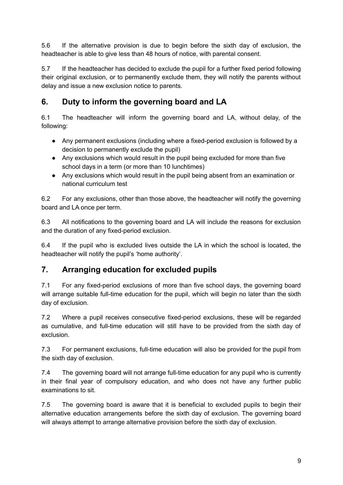5.6 If the alternative provision is due to begin before the sixth day of exclusion, the headteacher is able to give less than 48 hours of notice, with parental consent.

5.7 If the headteacher has decided to exclude the pupil for a further fixed period following their original exclusion, or to permanently exclude them, they will notify the parents without delay and issue a new exclusion notice to parents.

# <span id="page-8-0"></span>**6. Duty to inform the governing board and LA**

6.1 The headteacher will inform the governing board and LA, without delay, of the following:

- Any permanent exclusions (including where a fixed-period exclusion is followed by a decision to permanently exclude the pupil)
- Any exclusions which would result in the pupil being excluded for more than five school days in a term (or more than 10 lunchtimes)
- Any exclusions which would result in the pupil being absent from an examination or national curriculum test

6.2 For any exclusions, other than those above, the headteacher will notify the governing board and LA once per term.

6.3 All notifications to the governing board and LA will include the reasons for exclusion and the duration of any fixed-period exclusion.

6.4 If the pupil who is excluded lives outside the LA in which the school is located, the headteacher will notify the pupil's 'home authority'.

# <span id="page-8-1"></span>**7. Arranging education for excluded pupils**

7.1 For any fixed-period exclusions of more than five school days, the governing board will arrange suitable full-time education for the pupil, which will begin no later than the sixth day of exclusion.

7.2 Where a pupil receives consecutive fixed-period exclusions, these will be regarded as cumulative, and full-time education will still have to be provided from the sixth day of exclusion.

7.3 For permanent exclusions, full-time education will also be provided for the pupil from the sixth day of exclusion.

7.4 The governing board will not arrange full-time education for any pupil who is currently in their final year of compulsory education, and who does not have any further public examinations to sit.

7.5 The governing board is aware that it is beneficial to excluded pupils to begin their alternative education arrangements before the sixth day of exclusion. The governing board will always attempt to arrange alternative provision before the sixth day of exclusion.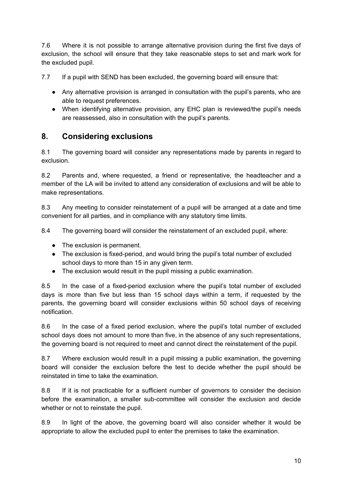7.6 Where it is not possible to arrange alternative provision during the first five days of exclusion, the school will ensure that they take reasonable steps to set and mark work for the excluded pupil.

7.7 If a pupil with SEND has been excluded, the governing board will ensure that:

- Any alternative provision is arranged in consultation with the pupil's parents, who are able to request preferences.
- When identifying alternative provision, any EHC plan is reviewed/the pupil's needs are reassessed, also in consultation with the pupil's parents.

## <span id="page-9-0"></span>**8. Considering exclusions**

8.1 The governing board will consider any representations made by parents in regard to exclusion.

8.2 Parents and, where requested, a friend or representative, the headteacher and a member of the LA will be invited to attend any consideration of exclusions and will be able to make representations.

8.3 Any meeting to consider reinstatement of a pupil will be arranged at a date and time convenient for all parties, and in compliance with any statutory time limits.

8.4 The governing board will consider the reinstatement of an excluded pupil, where:

- The exclusion is permanent.
- The exclusion is fixed-period, and would bring the pupil's total number of excluded school days to more than 15 in any given term.
- The exclusion would result in the pupil missing a public examination.

8.5 In the case of a fixed-period exclusion where the pupil's total number of excluded days is more than five but less than 15 school days within a term, if requested by the parents, the governing board will consider exclusions within 50 school days of receiving notification.

8.6 In the case of a fixed period exclusion, where the pupil's total number of excluded school days does not amount to more than five, in the absence of any such representations, the governing board is not required to meet and cannot direct the reinstatement of the pupil.

8.7 Where exclusion would result in a pupil missing a public examination, the governing board will consider the exclusion before the test to decide whether the pupil should be reinstated in time to take the examination.

8.8 If it is not practicable for a sufficient number of governors to consider the decision before the examination, a smaller sub-committee will consider the exclusion and decide whether or not to reinstate the pupil.

8.9 In light of the above, the governing board will also consider whether it would be appropriate to allow the excluded pupil to enter the premises to take the examination.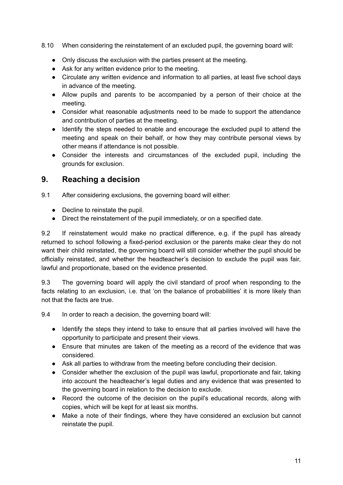#### 8.10 When considering the reinstatement of an excluded pupil, the governing board will:

- Only discuss the exclusion with the parties present at the meeting.
- Ask for any written evidence prior to the meeting.
- Circulate any written evidence and information to all parties, at least five school days in advance of the meeting.
- Allow pupils and parents to be accompanied by a person of their choice at the meeting.
- Consider what reasonable adjustments need to be made to support the attendance and contribution of parties at the meeting.
- Identify the steps needed to enable and encourage the excluded pupil to attend the meeting and speak on their behalf, or how they may contribute personal views by other means if attendance is not possible.
- Consider the interests and circumstances of the excluded pupil, including the grounds for exclusion.

#### <span id="page-10-0"></span>**9. Reaching a decision**

9.1 After considering exclusions, the governing board will either:

- Decline to reinstate the pupil.
- Direct the reinstatement of the pupil immediately, or on a specified date.

9.2 If reinstatement would make no practical difference, e.g. if the pupil has already returned to school following a fixed-period exclusion or the parents make clear they do not want their child reinstated, the governing board will still consider whether the pupil should be officially reinstated, and whether the headteacher's decision to exclude the pupil was fair, lawful and proportionate, based on the evidence presented.

9.3 The governing board will apply the civil standard of proof when responding to the facts relating to an exclusion, i.e. that 'on the balance of probabilities' it is more likely than not that the facts are true.

9.4 In order to reach a decision, the governing board will:

- Identify the steps they intend to take to ensure that all parties involved will have the opportunity to participate and present their views.
- Ensure that minutes are taken of the meeting as a record of the evidence that was considered.
- Ask all parties to withdraw from the meeting before concluding their decision.
- Consider whether the exclusion of the pupil was lawful, proportionate and fair, taking into account the headteacher's legal duties and any evidence that was presented to the governing board in relation to the decision to exclude.
- Record the outcome of the decision on the pupil's educational records, along with copies, which will be kept for at least six months.
- Make a note of their findings, where they have considered an exclusion but cannot reinstate the pupil.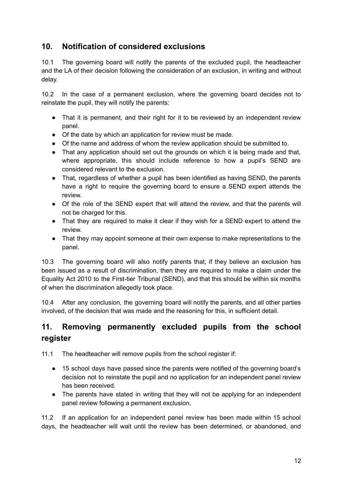## <span id="page-11-0"></span>**10. Notification of considered exclusions**

10.1 The governing board will notify the parents of the excluded pupil, the headteacher and the LA of their decision following the consideration of an exclusion, in writing and without delay.

10.2 In the case of a permanent exclusion, where the governing board decides not to reinstate the pupil, they will notify the parents:

- That it is permanent, and their right for it to be reviewed by an independent review panel.
- Of the date by which an application for review must be made.
- Of the name and address of whom the review application should be submitted to.
- That any application should set out the grounds on which it is being made and that, where appropriate, this should include reference to how a pupil's SEND are considered relevant to the exclusion.
- That, regardless of whether a pupil has been identified as having SEND, the parents have a right to require the governing board to ensure a SEND expert attends the review.
- Of the role of the SEND expert that will attend the review, and that the parents will not be charged for this.
- That they are required to make it clear if they wish for a SEND expert to attend the review.
- That they may appoint someone at their own expense to make representations to the panel.

10.3 The governing board will also notify parents that, if they believe an exclusion has been issued as a result of discrimination, then they are required to make a claim under the Equality Act 2010 to the First-tier Tribunal (SEND), and that this should be within six months of when the discrimination allegedly took place.

10.4 After any conclusion, the governing board will notify the parents, and all other parties involved, of the decision that was made and the reasoning for this, in sufficient detail.

# <span id="page-11-1"></span>**11. Removing permanently excluded pupils from the school register**

11.1 The headteacher will remove pupils from the school register if:

- 15 school days have passed since the parents were notified of the governing board's decision not to reinstate the pupil and no application for an independent panel review has been received.
- The parents have stated in writing that they will not be applying for an independent panel review following a permanent exclusion.

11.2 If an application for an independent panel review has been made within 15 school days, the headteacher will wait until the review has been determined, or abandoned, and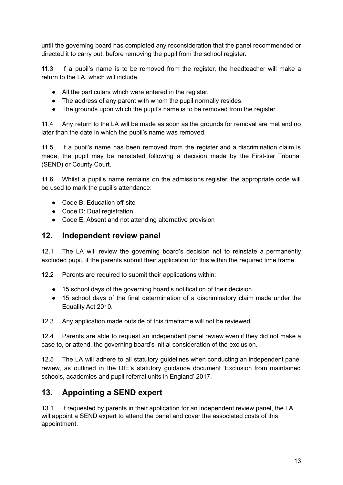until the governing board has completed any reconsideration that the panel recommended or directed it to carry out, before removing the pupil from the school register.

11.3 If a pupil's name is to be removed from the register, the headteacher will make a return to the LA, which will include:

- All the particulars which were entered in the register.
- The address of any parent with whom the pupil normally resides.
- The grounds upon which the pupil's name is to be removed from the register.

11.4 Any return to the LA will be made as soon as the grounds for removal are met and no later than the date in which the pupil's name was removed.

11.5 If a pupil's name has been removed from the register and a discrimination claim is made, the pupil may be reinstated following a decision made by the First-tier Tribunal (SEND) or County Court.

11.6 Whilst a pupil's name remains on the admissions register, the appropriate code will be used to mark the pupil's attendance:

- Code B: Education off-site
- Code D: Dual registration
- Code E: Absent and not attending alternative provision

#### <span id="page-12-0"></span>**12. Independent review panel**

12.1 The LA will review the governing board's decision not to reinstate a permanently excluded pupil, if the parents submit their application for this within the required time frame.

12.2 Parents are required to submit their applications within:

- 15 school days of the governing board's notification of their decision.
- 15 school days of the final determination of a discriminatory claim made under the Equality Act 2010.

12.3 Any application made outside of this timeframe will not be reviewed.

12.4 Parents are able to request an independent panel review even if they did not make a case to, or attend, the governing board's initial consideration of the exclusion.

12.5 The LA will adhere to all statutory guidelines when conducting an independent panel review, as outlined in the DfE's statutory guidance document 'Exclusion from maintained schools, academies and pupil referral units in England' 2017.

## <span id="page-12-1"></span>**13. Appointing a SEND expert**

13.1 If requested by parents in their application for an independent review panel, the LA will appoint a SEND expert to attend the panel and cover the associated costs of this appointment.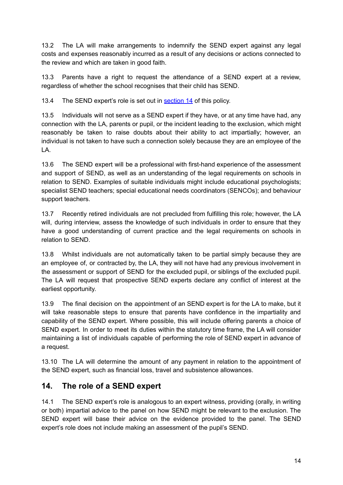13.2 The LA will make arrangements to indemnify the SEND expert against any legal costs and expenses reasonably incurred as a result of any decisions or actions connected to the review and which are taken in good faith.

13.3 Parents have a right to request the attendance of a SEND expert at a review, regardless of whether the school recognises that their child has SEND.

13.4 The SEND expert's role is set out in [section](#page-13-0) 14 of this policy.

13.5 Individuals will not serve as a SEND expert if they have, or at any time have had, any connection with the LA, parents or pupil, or the incident leading to the exclusion, which might reasonably be taken to raise doubts about their ability to act impartially; however, an individual is not taken to have such a connection solely because they are an employee of the LA.

13.6 The SEND expert will be a professional with first-hand experience of the assessment and support of SEND, as well as an understanding of the legal requirements on schools in relation to SEND. Examples of suitable individuals might include educational psychologists; specialist SEND teachers; special educational needs coordinators (SENCOs); and behaviour support teachers.

13.7 Recently retired individuals are not precluded from fulfilling this role; however, the LA will, during interview, assess the knowledge of such individuals in order to ensure that they have a good understanding of current practice and the legal requirements on schools in relation to SEND.

13.8 Whilst individuals are not automatically taken to be partial simply because they are an employee of, or contracted by, the LA, they will not have had any previous involvement in the assessment or support of SEND for the excluded pupil, or siblings of the excluded pupil. The LA will request that prospective SEND experts declare any conflict of interest at the earliest opportunity.

13.9 The final decision on the appointment of an SEND expert is for the LA to make, but it will take reasonable steps to ensure that parents have confidence in the impartiality and capability of the SEND expert. Where possible, this will include offering parents a choice of SEND expert. In order to meet its duties within the statutory time frame, the LA will consider maintaining a list of individuals capable of performing the role of SEND expert in advance of a request.

13.10 The LA will determine the amount of any payment in relation to the appointment of the SEND expert, such as financial loss, travel and subsistence allowances.

## <span id="page-13-0"></span>**14. The role of a SEND expert**

14.1 The SEND expert's role is analogous to an expert witness, providing (orally, in writing or both) impartial advice to the panel on how SEND might be relevant to the exclusion. The SEND expert will base their advice on the evidence provided to the panel. The SEND expert's role does not include making an assessment of the pupil's SEND.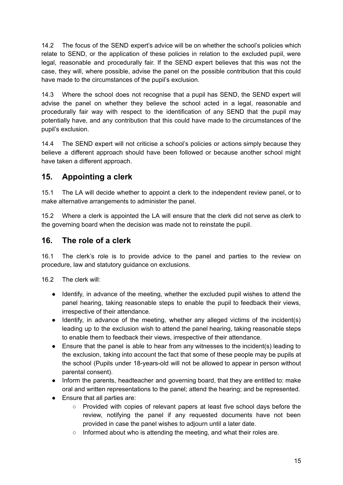14.2 The focus of the SEND expert's advice will be on whether the school's policies which relate to SEND, or the application of these policies in relation to the excluded pupil, were legal, reasonable and procedurally fair. If the SEND expert believes that this was not the case, they will, where possible, advise the panel on the possible contribution that this could have made to the circumstances of the pupil's exclusion.

14.3 Where the school does not recognise that a pupil has SEND, the SEND expert will advise the panel on whether they believe the school acted in a legal, reasonable and procedurally fair way with respect to the identification of any SEND that the pupil may potentially have, and any contribution that this could have made to the circumstances of the pupil's exclusion.

14.4 The SEND expert will not criticise a school's policies or actions simply because they believe a different approach should have been followed or because another school might have taken a different approach.

## <span id="page-14-0"></span>**15. Appointing a clerk**

15.1 The LA will decide whether to appoint a clerk to the independent review panel, or to make alternative arrangements to administer the panel.

15.2 Where a clerk is appointed the LA will ensure that the clerk did not serve as clerk to the governing board when the decision was made not to reinstate the pupil.

#### <span id="page-14-1"></span>**16. The role of a clerk**

16.1 The clerk's role is to provide advice to the panel and parties to the review on procedure, law and statutory guidance on exclusions.

16.2 The clerk will:

- Identify, in advance of the meeting, whether the excluded pupil wishes to attend the panel hearing, taking reasonable steps to enable the pupil to feedback their views, irrespective of their attendance.
- Identify, in advance of the meeting, whether any alleged victims of the incident(s) leading up to the exclusion wish to attend the panel hearing, taking reasonable steps to enable them to feedback their views, irrespective of their attendance.
- Ensure that the panel is able to hear from any witnesses to the incident(s) leading to the exclusion, taking into account the fact that some of these people may be pupils at the school (Pupils under 18-years-old will not be allowed to appear in person without parental consent).
- Inform the parents, headteacher and governing board, that they are entitled to: make oral and written representations to the panel; attend the hearing; and be represented.
- Ensure that all parties are:
	- Provided with copies of relevant papers at least five school days before the review, notifying the panel if any requested documents have not been provided in case the panel wishes to adjourn until a later date.
	- Informed about who is attending the meeting, and what their roles are.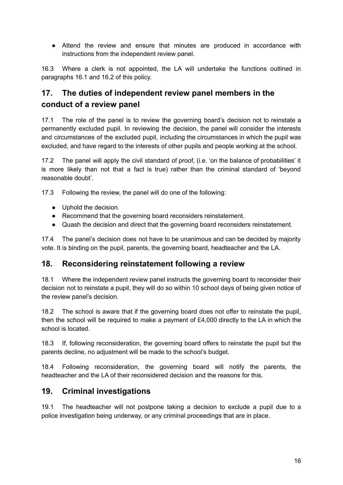● Attend the review and ensure that minutes are produced in accordance with instructions from the independent review panel.

16.3 Where a clerk is not appointed, the LA will undertake the functions outlined in paragraphs 16.1 and 16.2 of this policy.

# <span id="page-15-0"></span>**17. The duties of independent review panel members in the conduct of a review panel**

17.1 The role of the panel is to review the governing board's decision not to reinstate a permanently excluded pupil. In reviewing the decision, the panel will consider the interests and circumstances of the excluded pupil, including the circumstances in which the pupil was excluded, and have regard to the interests of other pupils and people working at the school.

17.2 The panel will apply the civil standard of proof, (i.e. 'on the balance of probabilities' it is more likely than not that a fact is true) rather than the criminal standard of 'beyond reasonable doubt'.

17.3 Following the review, the panel will do one of the following:

- Uphold the decision.
- Recommend that the governing board reconsiders reinstatement.
- Quash the decision and direct that the governing board reconsiders reinstatement.

17.4 The panel's decision does not have to be unanimous and can be decided by majority vote. It is binding on the pupil, parents, the governing board, headteacher and the LA.

#### <span id="page-15-1"></span>**18. Reconsidering reinstatement following a review**

18.1 Where the independent review panel instructs the governing board to reconsider their decision not to reinstate a pupil, they will do so within 10 school days of being given notice of the review panel's decision.

18.2 The school is aware that if the governing board does not offer to reinstate the pupil, then the school will be required to make a payment of £4,000 directly to the LA in which the school is located.

18.3 If, following reconsideration, the governing board offers to reinstate the pupil but the parents decline, no adjustment will be made to the school's budget.

18.4 Following reconsideration, the governing board will notify the parents, the headteacher and the LA of their reconsidered decision and the reasons for this.

## <span id="page-15-2"></span>**19. Criminal investigations**

19.1 The headteacher will not postpone taking a decision to exclude a pupil due to a police investigation being underway, or any criminal proceedings that are in place.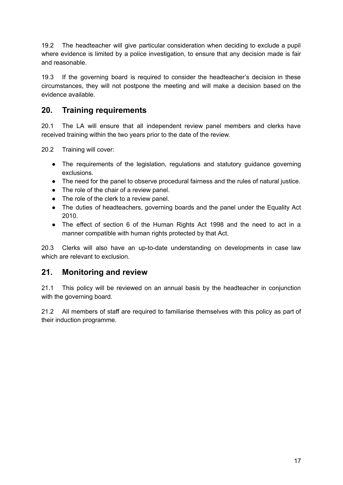19.2 The headteacher will give particular consideration when deciding to exclude a pupil where evidence is limited by a police investigation, to ensure that any decision made is fair and reasonable.

19.3 If the governing board is required to consider the headteacher's decision in these circumstances, they will not postpone the meeting and will make a decision based on the evidence available.

## <span id="page-16-0"></span>**20. Training requirements**

20.1 The LA will ensure that all independent review panel members and clerks have received training within the two years prior to the date of the review.

20.2 Training will cover:

- The requirements of the legislation, regulations and statutory guidance governing exclusions.
- The need for the panel to observe procedural fairness and the rules of natural justice.
- The role of the chair of a review panel.
- The role of the clerk to a review panel.
- The duties of headteachers, governing boards and the panel under the Equality Act 2010.
- The effect of section 6 of the Human Rights Act 1998 and the need to act in a manner compatible with human rights protected by that Act.

20.3 Clerks will also have an up-to-date understanding on developments in case law which are relevant to exclusion

#### <span id="page-16-1"></span>**21. Monitoring and review**

21.1 This policy will be reviewed on an annual basis by the headteacher in conjunction with the governing board.

21.2 All members of staff are required to familiarise themselves with this policy as part of their induction programme.